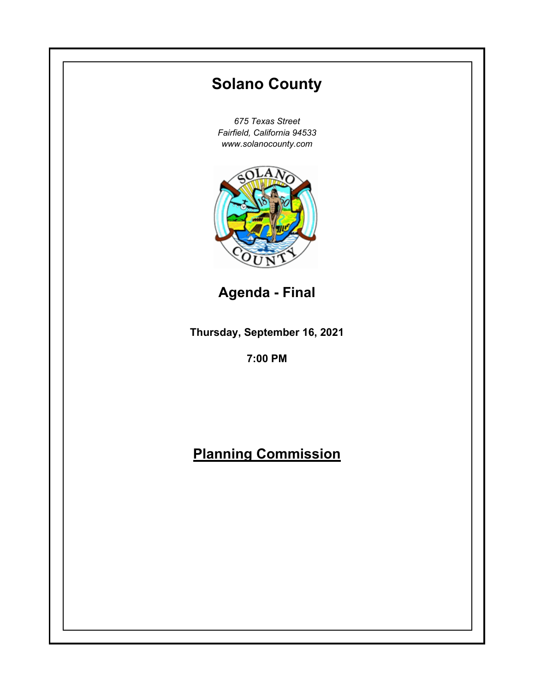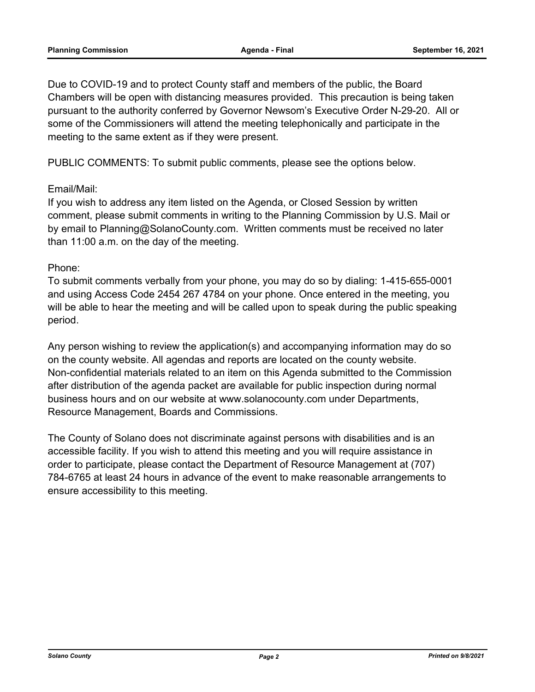Due to COVID-19 and to protect County staff and members of the public, the Board Chambers will be open with distancing measures provided. This precaution is being taken pursuant to the authority conferred by Governor Newsom's Executive Order N-29-20. All or some of the Commissioners will attend the meeting telephonically and participate in the meeting to the same extent as if they were present.

PUBLIC COMMENTS: To submit public comments, please see the options below.

## Email/Mail:

If you wish to address any item listed on the Agenda, or Closed Session by written comment, please submit comments in writing to the Planning Commission by U.S. Mail or by email to Planning@SolanoCounty.com. Written comments must be received no later than 11:00 a.m. on the day of the meeting.

## Phone:

To submit comments verbally from your phone, you may do so by dialing: 1-415-655-0001 and using Access Code 2454 267 4784 on your phone. Once entered in the meeting, you will be able to hear the meeting and will be called upon to speak during the public speaking period.

Any person wishing to review the application(s) and accompanying information may do so on the county website. All agendas and reports are located on the county website. Non-confidential materials related to an item on this Agenda submitted to the Commission after distribution of the agenda packet are available for public inspection during normal business hours and on our website at www.solanocounty.com under Departments, Resource Management, Boards and Commissions.

The County of Solano does not discriminate against persons with disabilities and is an accessible facility. If you wish to attend this meeting and you will require assistance in order to participate, please contact the Department of Resource Management at (707) 784-6765 at least 24 hours in advance of the event to make reasonable arrangements to ensure accessibility to this meeting.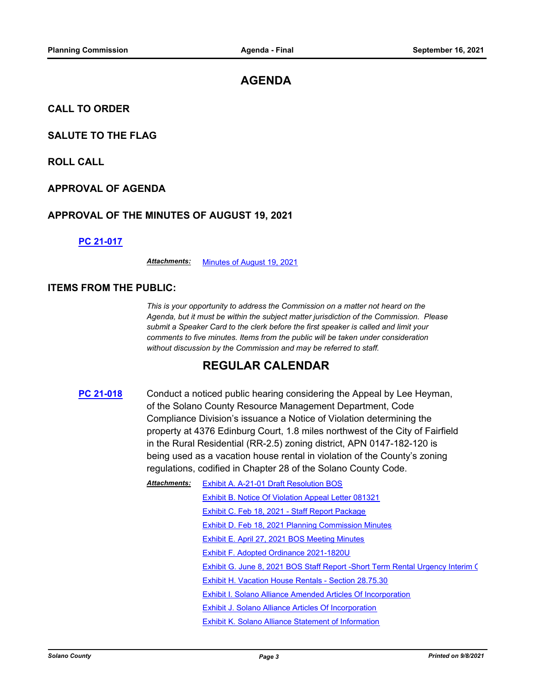# **AGENDA**

**CALL TO ORDER**

## **SALUTE TO THE FLAG**

**ROLL CALL**

### **APPROVAL OF AGENDA**

### **APPROVAL OF THE MINUTES OF AUGUST 19, 2021**

#### **[PC 21-017](http://solano.legistar.com/gateway.aspx?m=l&id=/matter.aspx?key=16232)**

*Attachments:* [Minutes of August 19, 2021](http://solano.legistar.com/gateway.aspx?M=F&ID=e4cb1623-04c4-4e7f-aaeb-e38ac05298a8.pdf)

### **ITEMS FROM THE PUBLIC:**

*This is your opportunity to address the Commission on a matter not heard on the Agenda, but it must be within the subject matter jurisdiction of the Commission. Please submit a Speaker Card to the clerk before the first speaker is called and limit your comments to five minutes. Items from the public will be taken under consideration without discussion by the Commission and may be referred to staff.*

# **REGULAR CALENDAR**

**[PC 21-018](http://solano.legistar.com/gateway.aspx?m=l&id=/matter.aspx?key=16233)** Conduct a noticed public hearing considering the Appeal by Lee Heyman, of the Solano County Resource Management Department, Code Compliance Division's issuance a Notice of Violation determining the property at 4376 Edinburg Court, 1.8 miles northwest of the City of Fairfield in the Rural Residential (RR-2.5) zoning district, APN 0147-182-120 is being used as a vacation house rental in violation of the County's zoning regulations, codified in Chapter 28 of the Solano County Code.

| <b>Attachments:</b> | Exhibit A. A-21-01 Draft Resolution BOS                                       |
|---------------------|-------------------------------------------------------------------------------|
|                     | Exhibit B. Notice Of Violation Appeal Letter 081321                           |
|                     | Exhibit C. Feb 18, 2021 - Staff Report Package                                |
|                     | Exhibit D. Feb 18, 2021 Planning Commission Minutes                           |
|                     | Exhibit E. April 27, 2021 BOS Meeting Minutes                                 |
|                     | Exhibit F. Adopted Ordinance 2021-1820U                                       |
|                     | Exhibit G. June 8, 2021 BOS Staff Report -Short Term Rental Urgency Interim C |
|                     | Exhibit H. Vacation House Rentals - Section 28.75.30                          |
|                     | Exhibit I. Solano Alliance Amended Articles Of Incorporation                  |
|                     | Exhibit J. Solano Alliance Articles Of Incorporation                          |
|                     | <b>Exhibit K. Solano Alliance Statement of Information</b>                    |